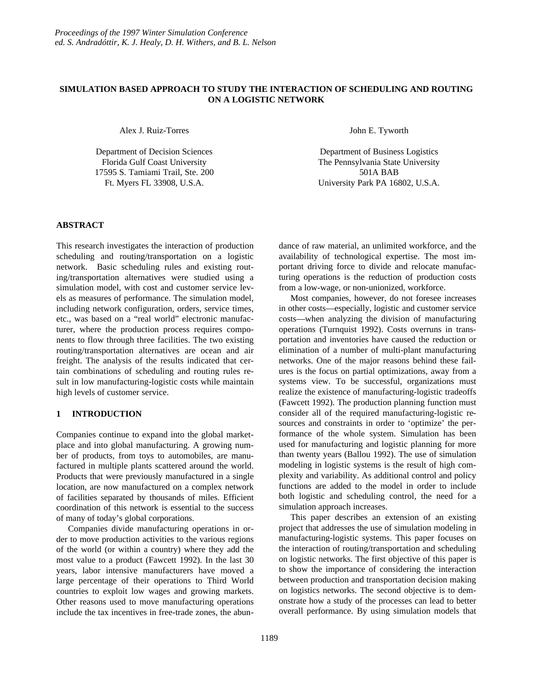## **SIMULATION BASED APPROACH TO STUDY THE INTERACTION OF SCHEDULING AND ROUTING ON A LOGISTIC NETWORK**

Alex J. Ruiz-Torres

Department of Decision Sciences Florida Gulf Coast University 17595 S. Tamiami Trail, Ste. 200 Ft. Myers FL 33908, U.S.A.

John E. Tyworth

Department of Business Logistics The Pennsylvania State University 501A BAB University Park PA 16802, U.S.A.

# **ABSTRACT**

This research investigates the interaction of production scheduling and routing/transportation on a logistic network. Basic scheduling rules and existing routing/transportation alternatives were studied using a simulation model, with cost and customer service levels as measures of performance. The simulation model, including network configuration, orders, service times, etc., was based on a "real world" electronic manufacturer, where the production process requires components to flow through three facilities. The two existing routing/transportation alternatives are ocean and air freight. The analysis of the results indicated that certain combinations of scheduling and routing rules result in low manufacturing-logistic costs while maintain high levels of customer service.

# **1 INTRODUCTION**

Companies continue to expand into the global marketplace and into global manufacturing. A growing number of products, from toys to automobiles, are manufactured in multiple plants scattered around the world. Products that were previously manufactured in a single location, are now manufactured on a complex network of facilities separated by thousands of miles. Efficient coordination of this network is essential to the success of many of today's global corporations.

Companies divide manufacturing operations in order to move production activities to the various regions of the world (or within a country) where they add the most value to a product (Fawcett 1992). In the last 30 years, labor intensive manufacturers have moved a large percentage of their operations to Third World countries to exploit low wages and growing markets. Other reasons used to move manufacturing operations include the tax incentives in free-trade zones, the abundance of raw material, an unlimited workforce, and the availability of technological expertise. The most important driving force to divide and relocate manufacturing operations is the reduction of production costs from a low-wage, or non-unionized, workforce.

Most companies, however, do not foresee increases in other costs—especially, logistic and customer service costs—when analyzing the division of manufacturing operations (Turnquist 1992). Costs overruns in transportation and inventories have caused the reduction or elimination of a number of multi-plant manufacturing networks. One of the major reasons behind these failures is the focus on partial optimizations, away from a systems view. To be successful, organizations must realize the existence of manufacturing-logistic tradeoffs (Fawcett 1992). The production planning function must consider all of the required manufacturing-logistic resources and constraints in order to 'optimize' the performance of the whole system. Simulation has been used for manufacturing and logistic planning for more than twenty years (Ballou 1992). The use of simulation modeling in logistic systems is the result of high complexity and variability. As additional control and policy functions are added to the model in order to include both logistic and scheduling control, the need for a simulation approach increases.

This paper describes an extension of an existing project that addresses the use of simulation modeling in manufacturing-logistic systems. This paper focuses on the interaction of routing/transportation and scheduling on logistic networks. The first objective of this paper is to show the importance of considering the interaction between production and transportation decision making on logistics networks. The second objective is to demonstrate how a study of the processes can lead to better overall performance. By using simulation models that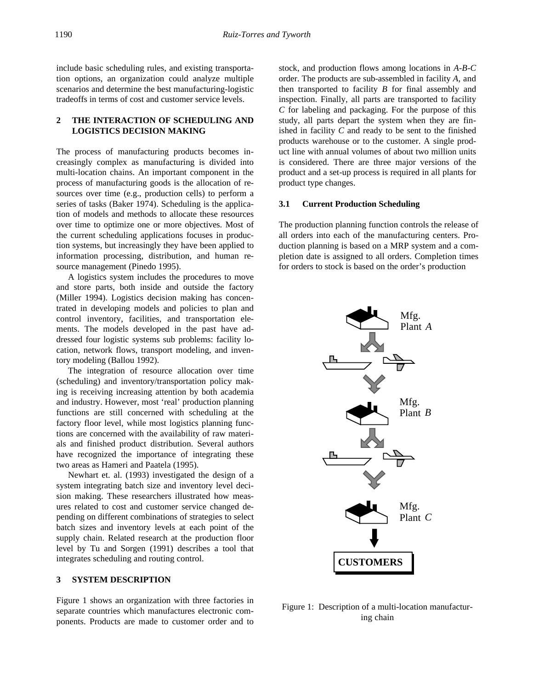include basic scheduling rules, and existing transportation options, an organization could analyze multiple scenarios and determine the best manufacturing-logistic tradeoffs in terms of cost and customer service levels.

# **2 THE INTERACTION OF SCHEDULING AND LOGISTICS DECISION MAKING**

The process of manufacturing products becomes increasingly complex as manufacturing is divided into multi-location chains. An important component in the process of manufacturing goods is the allocation of resources over time (e.g., production cells) to perform a series of tasks (Baker 1974). Scheduling is the application of models and methods to allocate these resources over time to optimize one or more objectives. Most of the current scheduling applications focuses in production systems, but increasingly they have been applied to information processing, distribution, and human resource management (Pinedo 1995).

A logistics system includes the procedures to move and store parts, both inside and outside the factory (Miller 1994). Logistics decision making has concentrated in developing models and policies to plan and control inventory, facilities, and transportation elements. The models developed in the past have addressed four logistic systems sub problems: facility location, network flows, transport modeling, and inventory modeling (Ballou 1992).

The integration of resource allocation over time (scheduling) and inventory/transportation policy making is receiving increasing attention by both academia and industry. However, most 'real' production planning functions are still concerned with scheduling at the factory floor level, while most logistics planning functions are concerned with the availability of raw materials and finished product distribution. Several authors have recognized the importance of integrating these two areas as Hameri and Paatela (1995).

Newhart et. al. (1993) investigated the design of a system integrating batch size and inventory level decision making. These researchers illustrated how measures related to cost and customer service changed depending on different combinations of strategies to select batch sizes and inventory levels at each point of the supply chain. Related research at the production floor level by Tu and Sorgen (1991) describes a tool that integrates scheduling and routing control.

### **3 SYSTEM DESCRIPTION**

Figure 1 shows an organization with three factories in separate countries which manufactures electronic components. Products are made to customer order and to

stock, and production flows among locations in *A*-*B*-*C* order. The products are sub-assembled in facility *A*, and then transported to facility *B* for final assembly and inspection. Finally, all parts are transported to facility *C* for labeling and packaging. For the purpose of this study, all parts depart the system when they are finished in facility *C* and ready to be sent to the finished products warehouse or to the customer. A single product line with annual volumes of about two million units is considered. There are three major versions of the product and a set-up process is required in all plants for product type changes.

#### **3.1 Current Production Scheduling**

The production planning function controls the release of all orders into each of the manufacturing centers. Production planning is based on a MRP system and a completion date is assigned to all orders. Completion times for orders to stock is based on the order's production



Figure 1: Description of a multi-location manufacturing chain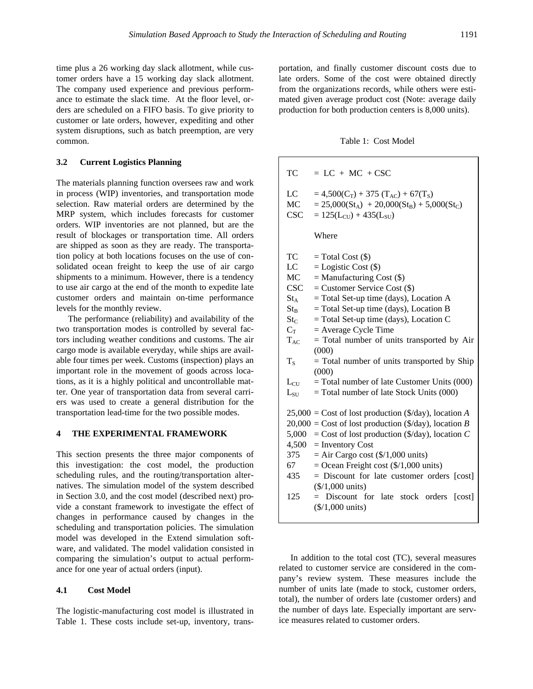time plus a 26 working day slack allotment, while customer orders have a 15 working day slack allotment. The company used experience and previous performance to estimate the slack time. At the floor level, orders are scheduled on a FIFO basis. To give priority to customer or late orders, however, expediting and other system disruptions, such as batch preemption, are very common.

## **3.2 Current Logistics Planning**

The materials planning function oversees raw and work in process (WIP) inventories, and transportation mode selection. Raw material orders are determined by the MRP system, which includes forecasts for customer orders. WIP inventories are not planned, but are the result of blockages or transportation time. All orders are shipped as soon as they are ready. The transportation policy at both locations focuses on the use of consolidated ocean freight to keep the use of air cargo shipments to a minimum. However, there is a tendency to use air cargo at the end of the month to expedite late customer orders and maintain on-time performance levels for the monthly review.

The performance (reliability) and availability of the two transportation modes is controlled by several factors including weather conditions and customs. The air cargo mode is available everyday, while ships are available four times per week. Customs (inspection) plays an important role in the movement of goods across locations, as it is a highly political and uncontrollable matter. One year of transportation data from several carriers was used to create a general distribution for the transportation lead-time for the two possible modes.

#### **4 THE EXPERIMENTAL FRAMEWORK**

This section presents the three major components of this investigation: the cost model, the production scheduling rules, and the routing/transportation alternatives. The simulation model of the system described in Section 3.0, and the cost model (described next) provide a constant framework to investigate the effect of changes in performance caused by changes in the scheduling and transportation policies. The simulation model was developed in the Extend simulation software, and validated. The model validation consisted in comparing the simulation's output to actual performance for one year of actual orders (input).

#### **4.1 Cost Model**

The logistic-manufacturing cost model is illustrated in Table 1. These costs include set-up, inventory, transportation, and finally customer discount costs due to late orders. Some of the cost were obtained directly from the organizations records, while others were estimated given average product cost (Note: average daily production for both production centers is 8,000 units).

## Table 1: Cost Model

| TC                                                                               | $= LC + MC + CSC$                                                                                                                                                                                                                                                                                                                                                                                                                                                                                    |  |  |  |  |  |
|----------------------------------------------------------------------------------|------------------------------------------------------------------------------------------------------------------------------------------------------------------------------------------------------------------------------------------------------------------------------------------------------------------------------------------------------------------------------------------------------------------------------------------------------------------------------------------------------|--|--|--|--|--|
| LC<br>MC<br><b>CSC</b>                                                           | $= 4,500(C_T) + 375(T_{AC}) + 67(T_S)$<br>$= 25,000(St_A) + 20,000(St_B) + 5,000(St_C)$<br>$= 125(L_{\text{CU}}) + 435(L_{\text{SU}})$                                                                                                                                                                                                                                                                                                                                                               |  |  |  |  |  |
|                                                                                  | Where                                                                                                                                                                                                                                                                                                                                                                                                                                                                                                |  |  |  |  |  |
| TC<br>LC<br>MC<br><b>CSC</b><br>$St_{A}$<br>$St_{R}$<br>StC<br>$C_T$<br>$T_{AC}$ | $=$ Total Cost $(\$)$<br>$=$ Logistic Cost $(\$)$<br>$=$ Manufacturing Cost $(\$)$<br>$=$ Customer Service Cost $(\$)$<br>$=$ Total Set-up time (days), Location A<br>$=$ Total Set-up time (days), Location B<br>$=$ Total Set-up time (days), Location C<br>$=$ Average Cycle Time<br>$=$ Total number of units transported by Air<br>(000)                                                                                                                                                        |  |  |  |  |  |
| $T_S$                                                                            | $=$ Total number of units transported by Ship<br>(000)                                                                                                                                                                                                                                                                                                                                                                                                                                               |  |  |  |  |  |
| $L_{CU}$<br>$L_{\rm SU}$                                                         | $=$ Total number of late Customer Units (000)<br>$=$ Total number of late Stock Units (000)                                                                                                                                                                                                                                                                                                                                                                                                          |  |  |  |  |  |
| 5,000<br>4,500<br>375<br>67 —<br>435<br>125                                      | $25,000 = \text{Cost of lost production } (\frac{6}{\text{day}}), \text{location } A$<br>$20,000 = \text{Cost of lost production } (\frac{6}{\text{day}}), \text{location } B$<br>= Cost of lost production (\$/day), location $C$<br>$=$ Inventory Cost<br>$=$ Air Cargo cost (\$/1,000 units)<br>$=$ Ocean Freight cost (\$/1,000 units)<br>$=$ Discount for late customer orders [cost]<br>$(\$/1,000 \text{ units})$<br>= Discount for late stock orders<br>[cost]<br>$(\$/1,000 \text{ units})$ |  |  |  |  |  |

In addition to the total cost (TC), several measures related to customer service are considered in the company's review system. These measures include the number of units late (made to stock, customer orders, total), the number of orders late (customer orders) and the number of days late. Especially important are service measures related to customer orders.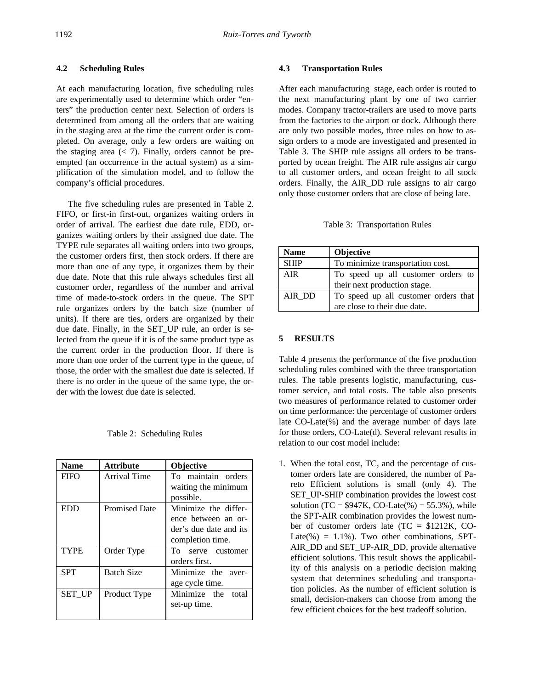# **4.2 Scheduling Rules**

At each manufacturing location, five scheduling rules are experimentally used to determine which order "enters" the production center next. Selection of orders is determined from among all the orders that are waiting in the staging area at the time the current order is completed. On average, only a few orders are waiting on the staging area  $(< 7)$ . Finally, orders cannot be preempted (an occurrence in the actual system) as a simplification of the simulation model, and to follow the company's official procedures.

The five scheduling rules are presented in Table 2. FIFO, or first-in first-out, organizes waiting orders in order of arrival. The earliest due date rule, EDD, organizes waiting orders by their assigned due date. The TYPE rule separates all waiting orders into two groups, the customer orders first, then stock orders. If there are more than one of any type, it organizes them by their due date. Note that this rule always schedules first all customer order, regardless of the number and arrival time of made-to-stock orders in the queue. The SPT rule organizes orders by the batch size (number of units). If there are ties, orders are organized by their due date. Finally, in the SET\_UP rule, an order is selected from the queue if it is of the same product type as the current order in the production floor. If there is more than one order of the current type in the queue, of those, the order with the smallest due date is selected. If there is no order in the queue of the same type, the order with the lowest due date is selected.

#### Table 2: Scheduling Rules

| <b>Attribute</b><br><b>Name</b> |                      | <b>Objective</b>                 |  |  |
|---------------------------------|----------------------|----------------------------------|--|--|
| <b>FIFO</b>                     | <b>Arrival Time</b>  | To maintain orders               |  |  |
|                                 |                      | waiting the minimum<br>possible. |  |  |
|                                 |                      |                                  |  |  |
| EDD                             | <b>Promised Date</b> | Minimize the differ-             |  |  |
|                                 |                      | ence between an or-              |  |  |
|                                 |                      | der's due date and its           |  |  |
|                                 |                      | completion time.                 |  |  |
| <b>TYPE</b>                     | Order Type           | To serve customer                |  |  |
|                                 |                      | orders first.                    |  |  |
| <b>SPT</b>                      | <b>Batch Size</b>    | Minimize the aver-               |  |  |
|                                 |                      | age cycle time.                  |  |  |
| <b>SET UP</b>                   | Product Type         | Minimize the total               |  |  |
|                                 |                      | set-up time.                     |  |  |
|                                 |                      |                                  |  |  |

#### **4.3 Transportation Rules**

After each manufacturing stage, each order is routed to the next manufacturing plant by one of two carrier modes. Company tractor-trailers are used to move parts from the factories to the airport or dock. Although there are only two possible modes, three rules on how to assign orders to a mode are investigated and presented in Table 3. The SHIP rule assigns all orders to be transported by ocean freight. The AIR rule assigns air cargo to all customer orders, and ocean freight to all stock orders. Finally, the AIR\_DD rule assigns to air cargo only those customer orders that are close of being late.

Table 3: Transportation Rules

| <b>Name</b> | <b>Objective</b>                     |  |  |  |  |  |
|-------------|--------------------------------------|--|--|--|--|--|
| <b>SHIP</b> | To minimize transportation cost.     |  |  |  |  |  |
| AIR.        | To speed up all customer orders to   |  |  |  |  |  |
|             | their next production stage.         |  |  |  |  |  |
| AIR DD      | To speed up all customer orders that |  |  |  |  |  |
|             | are close to their due date.         |  |  |  |  |  |

### **5 RESULTS**

Table 4 presents the performance of the five production scheduling rules combined with the three transportation rules. The table presents logistic, manufacturing, customer service, and total costs. The table also presents two measures of performance related to customer order on time performance: the percentage of customer orders late CO-Late(%) and the average number of days late for those orders, CO-Late(d). Several relevant results in relation to our cost model include:

1. When the total cost, TC, and the percentage of customer orders late are considered, the number of Pareto Efficient solutions is small (only 4). The SET\_UP-SHIP combination provides the lowest cost solution (TC =  $$947K, CO-Late$ %) = 55.3%), while the SPT-AIR combination provides the lowest number of customer orders late (TC = \$1212K, CO-Late(%) =  $1.1\%$ ). Two other combinations, SPT-AIR\_DD and SET\_UP-AIR\_DD, provide alternative efficient solutions. This result shows the applicability of this analysis on a periodic decision making system that determines scheduling and transportation policies. As the number of efficient solution is small, decision-makers can choose from among the few efficient choices for the best tradeoff solution.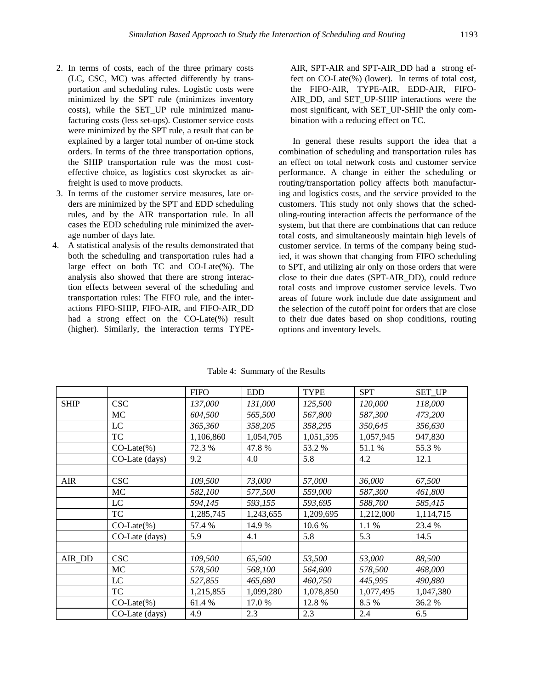- 2. In terms of costs, each of the three primary costs (LC, CSC, MC) was affected differently by transportation and scheduling rules. Logistic costs were minimized by the SPT rule (minimizes inventory costs), while the SET\_UP rule minimized manufacturing costs (less set-ups). Customer service costs were minimized by the SPT rule, a result that can be explained by a larger total number of on-time stock orders. In terms of the three transportation options, the SHIP transportation rule was the most costeffective choice, as logistics cost skyrocket as airfreight is used to move products.
- 3. In terms of the customer service measures, late orders are minimized by the SPT and EDD scheduling rules, and by the AIR transportation rule. In all cases the EDD scheduling rule minimized the average number of days late.
- 4. A statistical analysis of the results demonstrated that both the scheduling and transportation rules had a large effect on both TC and CO-Late(%). The analysis also showed that there are strong interaction effects between several of the scheduling and transportation rules: The FIFO rule, and the interactions FIFO-SHIP, FIFO-AIR, and FIFO-AIR\_DD had a strong effect on the CO-Late(%) result (higher). Similarly, the interaction terms TYPE-

AIR, SPT-AIR and SPT-AIR\_DD had a strong effect on CO-Late(%) (lower). In terms of total cost, the FIFO-AIR, TYPE-AIR, EDD-AIR, FIFO-AIR\_DD, and SET\_UP-SHIP interactions were the most significant, with SET\_UP-SHIP the only combination with a reducing effect on TC.

 In general these results support the idea that a combination of scheduling and transportation rules has an effect on total network costs and customer service performance. A change in either the scheduling or routing/transportation policy affects both manufacturing and logistics costs, and the service provided to the customers. This study not only shows that the scheduling-routing interaction affects the performance of the system, but that there are combinations that can reduce total costs, and simultaneously maintain high levels of customer service. In terms of the company being studied, it was shown that changing from FIFO scheduling to SPT, and utilizing air only on those orders that were close to their due dates (SPT-AIR\_DD), could reduce total costs and improve customer service levels. Two areas of future work include due date assignment and the selection of the cutoff point for orders that are close to their due dates based on shop conditions, routing options and inventory levels.

|             |                | <b>FIFO</b> | <b>EDD</b> | <b>TYPE</b> | <b>SPT</b> | <b>SET UP</b> |
|-------------|----------------|-------------|------------|-------------|------------|---------------|
| <b>SHIP</b> | <b>CSC</b>     | 137,000     | 131,000    | 125,500     | 120,000    | 118,000       |
|             | MC             | 604,500     | 565,500    | 567,800     | 587,300    | 473,200       |
|             | LC             | 365,360     | 358,205    | 358,295     | 350,645    | 356,630       |
|             | TC             | 1,106,860   | 1,054,705  | 1,051,595   | 1,057,945  | 947,830       |
|             | $CO-Late$ %)   | 72.3 %      | 47.8%      | 53.2 %      | 51.1 %     | 55.3%         |
|             | CO-Late (days) | 9.2         | 4.0        | 5.8         | 4.2        | 12.1          |
|             |                |             |            |             |            |               |
| <b>AIR</b>  | <b>CSC</b>     | 109,500     | 73,000     | 57,000      | 36,000     | 67,500        |
|             | МC             | 582,100     | 577,500    | 559,000     | 587,300    | 461,800       |
|             | LC             | 594,145     | 593,155    | 593,695     | 588,700    | 585,415       |
|             | TC             | 1,285,745   | 1,243,655  | 1,209,695   | 1,212,000  | 1,114,715     |
|             | $CO-Late(\%)$  | 57.4 %      | 14.9 %     | 10.6 %      | 1.1%       | 23.4 %        |
|             | CO-Late (days) | 5.9         | 4.1        | 5.8         | 5.3        | 14.5          |
|             |                |             |            |             |            |               |
| AIR DD      | <b>CSC</b>     | 109,500     | 65,500     | 53,500      | 53,000     | 88,500        |
|             | МC             | 578,500     | 568,100    | 564,600     | 578,500    | 468,000       |
|             | LC             | 527,855     | 465,680    | 460,750     | 445,995    | 490,880       |
|             | TC             | 1,215,855   | 1,099,280  | 1,078,850   | 1,077,495  | 1,047,380     |
|             | $CO-Late$ %)   | 61.4 %      | 17.0 %     | 12.8%       | 8.5 %      | 36.2%         |
|             | CO-Late (days) | 4.9         | 2.3        | 2.3         | 2.4        | 6.5           |

Table 4: Summary of the Results